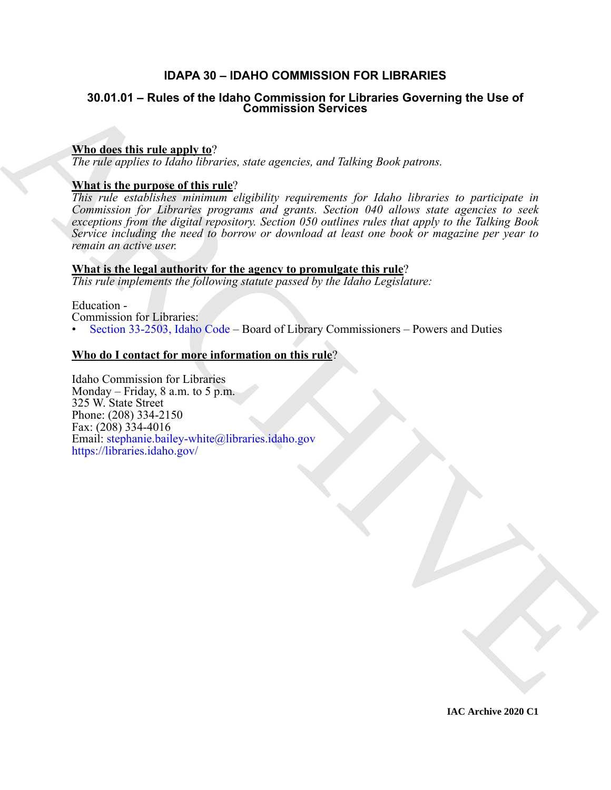### **IDAPA 30 – IDAHO COMMISSION FOR LIBRARIES**

## **30.01.01 – Rules of the Idaho Commission for Libraries Governing the Use of Commission Services**

#### **Who does this rule apply to**?

*The rule applies to Idaho libraries, state agencies, and Talking Book patrons.*

#### **What is the purpose of this rule**?

30. 04. 04 – Rules of the Idaho Commission Services Governing the Use of<br>
The disc this rule and v  $\alpha$ <sup>2</sup><br>
The color points in *ighthareas, state agences, and Tablang Book parons.*<br>
What is the angular and ight in the an *This rule establishes minimum eligibility requirements for Idaho libraries to participate in Commission for Libraries programs and grants. Section 040 allows state agencies to seek exceptions from the digital repository. Section 050 outlines rules that apply to the Talking Book Service including the need to borrow or download at least one book or magazine per year to remain an active user.*

#### **What is the legal authority for the agency to promulgate this rule**?

*This rule implements the following statute passed by the Idaho Legislature:*

Education -

Commission for Libraries:

• Section 33-2503, Idaho Code – Board of Library Commissioners – Powers and Duties

#### **Who do I contact for more information on this rule**?

Idaho Commission for Libraries Monday – Friday,  $8$  a.m. to  $5$  p.m. 325 W. State Street Phone: (208) 334-2150 Fax: (208) 334-4016 Email: stephanie.bailey-white@libraries.idaho.gov https://libraries.idaho.gov/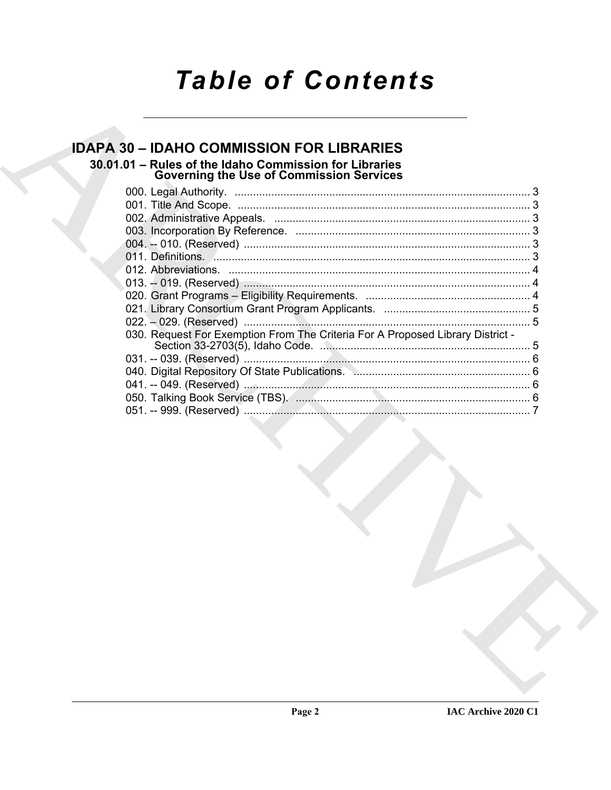# **Table of Contents**

### **IDAPA 30 - IDAHO COMMISSION FOR LIBRARIES** 30.01.01 - Rules of the Idaho Commission for Libraries **Governing the Use of Commission Services** 030. Request For Exemption From The Criteria For A Proposed Library District -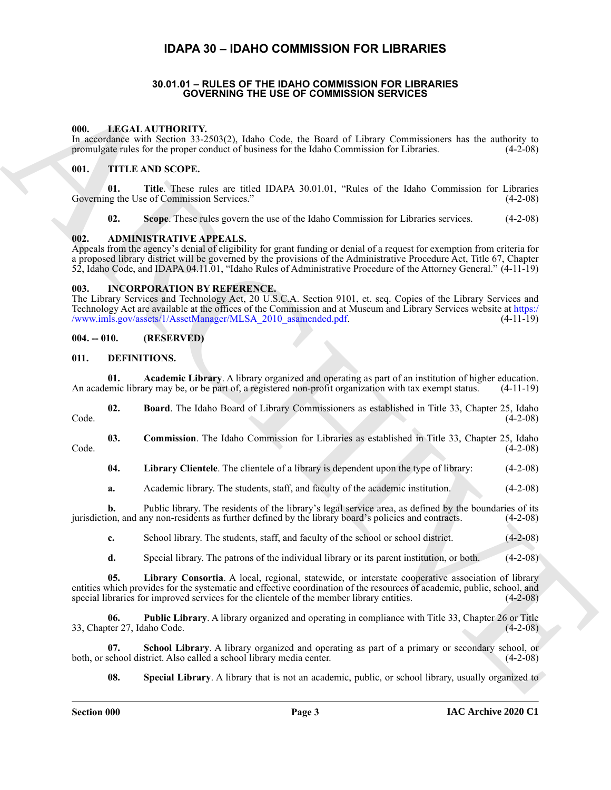### **IDAPA 30 – IDAHO COMMISSION FOR LIBRARIES**

#### **30.01.01 – RULES OF THE IDAHO COMMISSION FOR LIBRARIES GOVERNING THE USE OF COMMISSION SERVICES**

#### <span id="page-2-19"></span><span id="page-2-2"></span><span id="page-2-1"></span><span id="page-2-0"></span>**000. LEGAL AUTHORITY.**

In accordance with Section 33-2503(2), Idaho Code, the Board of Library Commissioners has the authority to promulgate rules for the proper conduct of business for the Idaho Commission for Libraries. (4-2-08)

#### <span id="page-2-20"></span><span id="page-2-3"></span>**001. TITLE AND SCOPE.**

**01. Title**. These rules are titled IDAPA 30.01.01, "Rules of the Idaho Commission for Libraries Governing the Use of Commission Services." (4-2-08)

<span id="page-2-8"></span>**02. Scope**. These rules govern the use of the Idaho Commission for Libraries services. (4-2-08)

#### <span id="page-2-4"></span>**002. ADMINISTRATIVE APPEALS.**

Appeals from the agency's denial of eligibility for grant funding or denial of a request for exemption from criteria for a proposed library district will be governed by the provisions of the Administrative Procedure Act, Title 67, Chapter 52, Idaho Code, and IDAPA 04.11.01, "Idaho Rules of Administrative Procedure of the Attorney General." (4-11-19)

#### <span id="page-2-18"></span><span id="page-2-5"></span>**003. INCORPORATION BY REFERENCE.**

The Library Services and Technology Act, 20 U.S.C.A. Section 9101, et. seq. Copies of the Library Services and Technology Act are available at the offices of the Commission and at Museum and Library Services website at https:/ /www.imls.gov/assets/1/AssetManager/MLSA\_2010\_asamended.pdf

#### <span id="page-2-6"></span>**004. -- 010. (RESERVED)**

#### <span id="page-2-9"></span><span id="page-2-7"></span>**011. DEFINITIONS.**

<span id="page-2-10"></span>

|                                                                                                                     |  |  | <b>Academic Library.</b> A library organized and operating as part of an institution of higher education. |  |  |
|---------------------------------------------------------------------------------------------------------------------|--|--|-----------------------------------------------------------------------------------------------------------|--|--|
| An academic library may be, or be part of, a registered non-profit organization with tax exempt status. $(4-11-19)$ |  |  |                                                                                                           |  |  |

<span id="page-2-11"></span>**02. Board**. The Idaho Board of Library Commissioners as established in Title 33, Chapter 25, Idaho  $\text{Code.} \tag{4-2-08}$ 

**03. Commission**. The Idaho Commission for Libraries as established in Title 33, Chapter 25, Idaho Code. (4-2-08)

<span id="page-2-13"></span><span id="page-2-12"></span>**04. Library Clientele**. The clientele of a library is dependent upon the type of library: (4-2-08)

**a.** Academic library. The students, staff, and faculty of the academic institution. (4-2-08)

**b.** Public library. The residents of the library's legal service area, as defined by the boundaries of its jurisdiction, and any non-residents as further defined by the library board's policies and contracts. (4-2-08)

**c.** School library. The students, staff, and faculty of the school or school district. (4-2-08)

<span id="page-2-15"></span><span id="page-2-14"></span>**d.** Special library. The patrons of the individual library or its parent institution, or both. (4-2-08)

**COVERNING THE USE OF COMMISSION SERVICES**<br>
A[RC](https://www.imls.gov/assets/1/AssetManager/MLSA_2010_asamended.pdf)HIVENTIVENTY, A DESCRIPTION CONTRACT AND CONTRACT AND CONTRACT CONTRACT CONTRACT AND CONTRACT AND CONTRACT CONTRACT AND CONTRACT AND CONTRACT AND CONTRACT AND CONTRACT AND CO **05. Library Consortia**. A local, regional, statewide, or interstate cooperative association of library entities which provides for the systematic and effective coordination of the resources of academic, public, school, and special libraries for improved services for the clientele of the member library entities. (4-2-08)

**06. Public Library**. A library organized and operating in compliance with Title 33, Chapter 26 or Title 33, Chapter 27, Idaho Code. (4-2-08)

**07. School Library**. A library organized and operating as part of a primary or secondary school, or both, or school district. Also called a school library media center. (4-2-08)

<span id="page-2-17"></span><span id="page-2-16"></span>**08. Special Library**. A library that is not an academic, public, or school library, usually organized to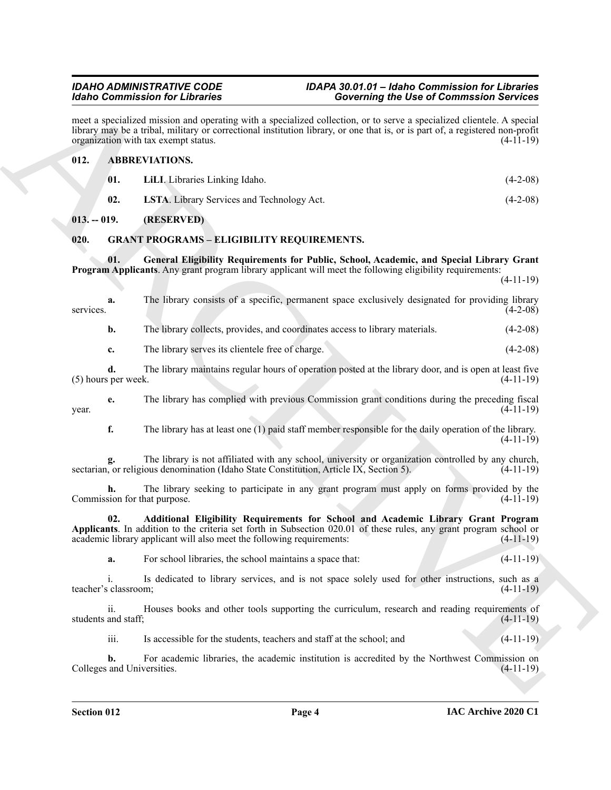#### <span id="page-3-5"></span><span id="page-3-4"></span><span id="page-3-3"></span><span id="page-3-0"></span>**012. ABBREVIATIONS.**

|                                        | <b>Idaho Commission for Libraries</b>                                                                                                                                                                                                                                                           | <b>Governing the Use of Commssion Services</b>                                                         |             |  |  |  |
|----------------------------------------|-------------------------------------------------------------------------------------------------------------------------------------------------------------------------------------------------------------------------------------------------------------------------------------------------|--------------------------------------------------------------------------------------------------------|-------------|--|--|--|
|                                        | meet a specialized mission and operating with a specialized collection, or to serve a specialized clientele. A special<br>library may be a tribal, military or correctional institution library, or one that is, or is part of, a registered non-profit<br>organization with tax exempt status. |                                                                                                        | $(4-11-19)$ |  |  |  |
| 012.                                   | <b>ABBREVIATIONS.</b>                                                                                                                                                                                                                                                                           |                                                                                                        |             |  |  |  |
| 01.                                    | LiLI. Libraries Linking Idaho.                                                                                                                                                                                                                                                                  |                                                                                                        | $(4-2-08)$  |  |  |  |
| 02.                                    | LSTA. Library Services and Technology Act.                                                                                                                                                                                                                                                      |                                                                                                        | $(4-2-08)$  |  |  |  |
| $013. - 019.$                          | (RESERVED)                                                                                                                                                                                                                                                                                      |                                                                                                        |             |  |  |  |
| 020.                                   | <b>GRANT PROGRAMS - ELIGIBILITY REQUIREMENTS.</b>                                                                                                                                                                                                                                               |                                                                                                        |             |  |  |  |
| 01.                                    | <b>Program Applicants.</b> Any grant program library applicant will meet the following eligibility requirements:                                                                                                                                                                                | General Eligibility Requirements for Public, School, Academic, and Special Library Grant               | $(4-11-19)$ |  |  |  |
| a.<br>services.                        |                                                                                                                                                                                                                                                                                                 | The library consists of a specific, permanent space exclusively designated for providing library       | $(4-2-08)$  |  |  |  |
| b.                                     |                                                                                                                                                                                                                                                                                                 | The library collects, provides, and coordinates access to library materials.                           | $(4-2-08)$  |  |  |  |
| c.                                     | The library serves its clientele free of charge.                                                                                                                                                                                                                                                |                                                                                                        | $(4-2-08)$  |  |  |  |
| d.<br>(5) hours per week.              |                                                                                                                                                                                                                                                                                                 | The library maintains regular hours of operation posted at the library door, and is open at least five | $(4-11-19)$ |  |  |  |
| e.<br>year.                            |                                                                                                                                                                                                                                                                                                 | The library has complied with previous Commission grant conditions during the preceding fiscal         | $(4-11-19)$ |  |  |  |
| f.                                     |                                                                                                                                                                                                                                                                                                 | The library has at least one (1) paid staff member responsible for the daily operation of the library. | $(4-11-19)$ |  |  |  |
|                                        | sectarian, or religious denomination (Idaho State Constitution, Article IX, Section 5).                                                                                                                                                                                                         | The library is not affiliated with any school, university or organization controlled by any church,    | $(4-11-19)$ |  |  |  |
| h.<br>Commission for that purpose.     |                                                                                                                                                                                                                                                                                                 | The library seeking to participate in any grant program must apply on forms provided by the            | $(4-11-19)$ |  |  |  |
| 02.                                    | Applicants. In addition to the criteria set forth in Subsection 020.01 of these rules, any grant program school or<br>academic library applicant will also meet the following requirements:                                                                                                     | Additional Eligibility Requirements for School and Academic Library Grant Program                      | $(4-11-19)$ |  |  |  |
| a.                                     | For school libraries, the school maintains a space that:                                                                                                                                                                                                                                        |                                                                                                        | $(4-11-19)$ |  |  |  |
| $\mathbf{i}$ .<br>teacher's classroom; |                                                                                                                                                                                                                                                                                                 | Is dedicated to library services, and is not space solely used for other instructions, such as a       | $(4-11-19)$ |  |  |  |
| ii.<br>students and staff;             |                                                                                                                                                                                                                                                                                                 | Houses books and other tools supporting the curriculum, research and reading requirements of           | $(4-11-19)$ |  |  |  |
| iii.                                   | Is accessible for the students, teachers and staff at the school; and                                                                                                                                                                                                                           |                                                                                                        | $(4-11-19)$ |  |  |  |
| b.<br>Colleges and Universities.       |                                                                                                                                                                                                                                                                                                 | For academic libraries, the academic institution is accredited by the Northwest Commission on          | $(4-11-19)$ |  |  |  |
|                                        |                                                                                                                                                                                                                                                                                                 |                                                                                                        |             |  |  |  |

#### <span id="page-3-8"></span><span id="page-3-7"></span><span id="page-3-6"></span><span id="page-3-2"></span><span id="page-3-1"></span>**020. GRANT PROGRAMS – ELIGIBILITY REQUIREMENTS.**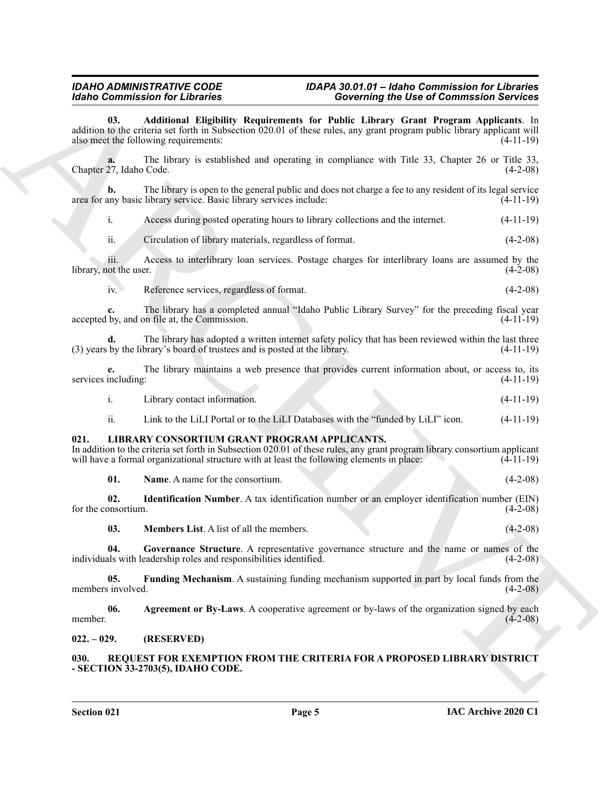#### <span id="page-4-3"></span>*IDAHO ADMINISTRATIVE CODE IDAPA 30.01.01 – Idaho Commission for Libraries Idaho Commission for Libraries Governing the Use of Commssion Services*

**Example Solution Contributes** Constraints for **Poission Profession** Solution 11.<br>
at the contribute state in the contribute of the contribute of the contribute of the contribute of the contribute of the contribute of th **03. Additional Eligibility Requirements for Public Library Grant Program Applicants**. In addition to the criteria set forth in Subsection 020.01 of these rules, any grant program public library applicant will also meet the following requirements: (4-11-19) **a.** The library is established and operating in compliance with Title 33, Chapter 26 or Title 33, Chapter 27, Idaho Code. (4-2-08) **b.** The library is open to the general public and does not charge a fee to any resident of its legal service area for any basic library service. Basic library services include: (4-11-19) i. Access during posted operating hours to library collections and the internet. (4-11-19) ii. Circulation of library materials, regardless of format. (4-2-08) iii. Access to interlibrary loan services. Postage charges for interlibrary loans are assumed by the library, not the user. (4-2-08) iv. Reference services, regardless of format. (4-2-08) **c.** The library has a completed annual "Idaho Public Library Survey" for the preceding fiscal year accepted by, and on file at, the Commission. (4-11-19) **d.** The library has adopted a written internet safety policy that has been reviewed within the last three (3) years by the library's board of trustees and is posted at the library. (4-11-19) **e.** The library maintains a web presence that provides current information about, or access to, its services including: (4-11-19) i. Library contact information. (4-11-19) ii. Link to the LiLI Portal or to the LiLI Databases with the "funded by LiLI" icon. (4-11-19) **021. LIBRARY CONSORTIUM GRANT PROGRAM APPLICANTS.** In addition to the criteria set forth in Subsection 020.01 of these rules, any grant program library consortium applicant will have a formal organizational structure with at least the following elements in place: (4-11-19) will have a formal organizational structure with at least the following elements in place: **01. Name**. A name for the consortium. (4-2-08) **02. Identification Number**. A tax identification number or an employer identification number (EIN) for the consortium. **03. Members List**. A list of all the members. (4-2-08) **04. Governance Structure**. A representative governance structure and the name or names of the individuals with leadership roles and responsibilities identified. (4-2-08) **05. Funding Mechanism**. A sustaining funding mechanism supported in part by local funds from the members involved. (4-2-08) **06. Agreement or By-Laws**. A cooperative agreement or by-laws of the organization signed by each member.  $(4-2-08)$ 

#### <span id="page-4-11"></span><span id="page-4-2"></span>**030. REQUEST FOR EXEMPTION FROM THE CRITERIA FOR A PROPOSED LIBRARY DISTRICT - SECTION 33-2703(5), IDAHO CODE.**

<span id="page-4-10"></span><span id="page-4-9"></span><span id="page-4-8"></span><span id="page-4-7"></span><span id="page-4-6"></span><span id="page-4-5"></span><span id="page-4-4"></span><span id="page-4-1"></span><span id="page-4-0"></span>**022. – 029. (RESERVED)**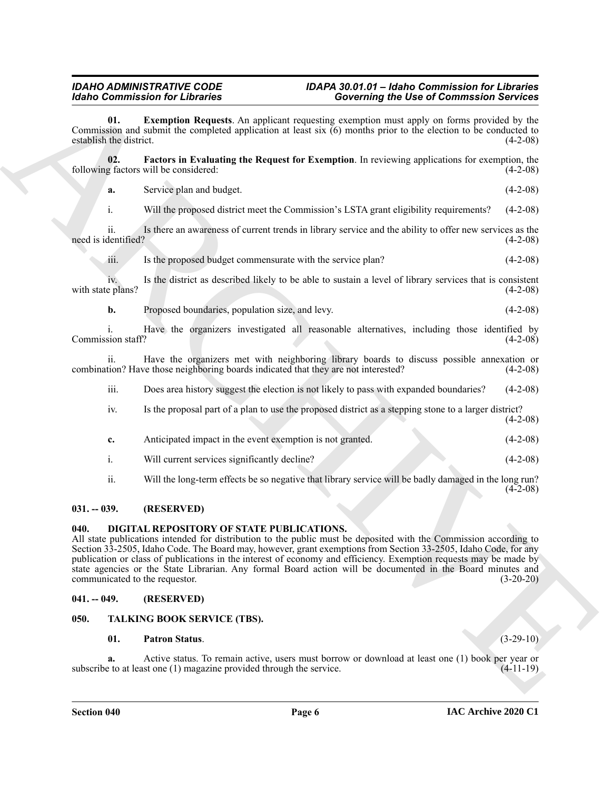#### *IDAHO ADMINISTRATIVE CODE IDAPA 30.01.01 – Idaho Commission for Libraries Idaho Commission for Libraries Governing the Use of Commssion Services*

<span id="page-5-5"></span>**01. Exemption Requests**. An applicant requesting exemption must apply on forms provided by the Commission and submit the completed application at least six (6) months prior to the election to be conducted to establish the district. (4-2-08)

**02. Factors in Evaluating the Request for Exemption**. In reviewing applications for exemption, the following factors will be considered: (4-2-08)

<span id="page-5-6"></span>**a.** Service plan and budget. (4-2-08)

i. Will the proposed district meet the Commission's LSTA grant eligibility requirements? (4-2-08)

ii. Is there an awareness of current trends in library service and the ability to offer new services as the dentified? (4-2-08) need is identified?

iii. Is the proposed budget commensurate with the service plan?  $(4-2-08)$ 

iv. Is the district as described likely to be able to sustain a level of library services that is consistent with state plans? (4-2-08)

**b.** Proposed boundaries, population size, and levy. (4-2-08)

i. Have the organizers investigated all reasonable alternatives, including those identified by Commission staff?

ii. Have the organizers met with neighboring library boards to discuss possible annexation or tion? Have those neighboring boards indicated that they are not interested? (4-2-08) combination? Have those neighboring boards indicated that they are not interested?

iii. Does area history suggest the election is not likely to pass with expanded boundaries? (4-2-08)

- iv. Is the proposal part of a plan to use the proposed district as a stepping stone to a larger district? (4-2-08)
- **c.** Anticipated impact in the event exemption is not granted. (4-2-08) i. Will current services significantly decline? (4-2-08)
- ii. Will the long-term effects be so negative that library service will be badly damaged in the long run?

#### <span id="page-5-0"></span>**031. -- 039. (RESERVED)**

#### <span id="page-5-4"></span><span id="page-5-1"></span>**040. DIGITAL REPOSITORY OF STATE PUBLICATIONS.**

**Example in the second stress of the stress of the second stress of the second stress of the second stress of the second stress of the second stress of the second stress of the second stress of the second stress of the s** All state publications intended for distribution to the public must be deposited with the Commission according to Section 33-2505, Idaho Code. The Board may, however, grant exemptions from Section 33-2505, Idaho Code, for any publication or class of publications in the interest of economy and efficiency. Exemption requests may be made by state agencies or the State Librarian. Any formal Board action will be documented in the Board minutes and communicated to the requestor. (3-20-20)

#### <span id="page-5-2"></span>**041. -- 049. (RESERVED)**

### <span id="page-5-3"></span>**050. TALKING BOOK SERVICE (TBS).**

#### <span id="page-5-8"></span><span id="page-5-7"></span>**01. Patron Status**. (3-29-10)

**a.** Active status. To remain active, users must borrow or download at least one (1) book per year or e to at least one (1) magazine provided through the service. (4-11-19) subscribe to at least one  $(1)$  magazine provided through the service.

 $(4-2-08)$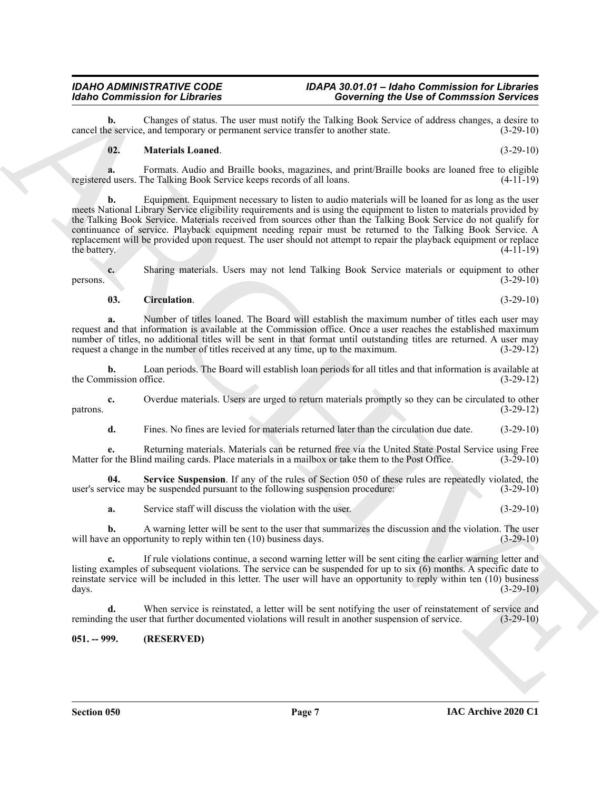#### *IDAHO ADMINISTRATIVE CODE IDAPA 30.01.01 – Idaho Commission for Libraries Idaho Commission for Libraries Governing the Use of Commssion Services*

**b.** Changes of status. The user must notify the Talking Book Service of address changes, a desire to exervice exervice transfer to another state. (3-29-10) cancel the service, and temporary or permanent service transfer to another state.

#### <span id="page-6-2"></span>**02. Materials Loaned**. (3-29-10)

**a.** Formats. Audio and Braille books, magazines, and print/Braille books are loaned free to eligible dusers. The Talking Book Service keeps records of all loans. (4-11-19) registered users. The Talking Book Service keeps records of all loans.

**Example Commutation for Liesuwe Theorem can be also that the state of Commutation Service 2<br>
Service 2 and the state of Commutation Service Commutation Service 2 and the state of Commutation Service 2<br>
Service 2 and the b.** Equipment. Equipment necessary to listen to audio materials will be loaned for as long as the user meets National Library Service eligibility requirements and is using the equipment to listen to materials provided by the Talking Book Service. Materials received from sources other than the Talking Book Service do not qualify for continuance of service. Playback equipment needing repair must be returned to the Talking Book Service. A replacement will be provided upon request. The user should not attempt to repair the playback equipment or replace the battery.  $(4-11-19)$ 

**c.** Sharing materials. Users may not lend Talking Book Service materials or equipment to other (3-29-10) persons.  $(3-29-10)$ 

#### <span id="page-6-1"></span>**03. Circulation**. (3-29-10)

**a.** Number of titles loaned. The Board will establish the maximum number of titles each user may request and that information is available at the Commission office. Once a user reaches the established maximum number of titles, no additional titles will be sent in that format until outstanding titles are returned. A user may request a change in the number of titles received at any time, up to the maximum. (3-29-12)

**b.** Loan periods. The Board will establish loan periods for all titles and that information is available at the Commission office. (3-29-12)

**c.** Overdue materials. Users are urged to return materials promptly so they can be circulated to other patrons. (3-29-12)

**d.** Fines. No fines are levied for materials returned later than the circulation due date.  $(3-29-10)$ 

**e.** Returning materials. Materials can be returned free via the United State Postal Service using Free or the Blind mailing cards. Place materials in a mailbox or take them to the Post Office. (3-29-10) Matter for the Blind mailing cards. Place materials in a mailbox or take them to the Post Office.

**04. Service Suspension**. If any of the rules of Section 050 of these rules are repeatedly violated, the user's service may be suspended pursuant to the following suspension procedure: (3-29-10)

<span id="page-6-3"></span>**a.** Service staff will discuss the violation with the user. (3-29-10)

**b.** A warning letter will be sent to the user that summarizes the discussion and the violation. The user will have an opportunity to reply within ten (10) business days. (3-29-10)

**c.** If rule violations continue, a second warning letter will be sent citing the earlier warning letter and listing examples of subsequent violations. The service can be suspended for up to six (6) months. A specific date to reinstate service will be included in this letter. The user will have an opportunity to reply within ten (10) business days. (3-29-10)

**d.** When service is reinstated, a letter will be sent notifying the user of reinstatement of service and reminding the user that further documented violations will result in another suspension of service. (3-29-10)

#### <span id="page-6-0"></span>**051. -- 999. (RESERVED)**